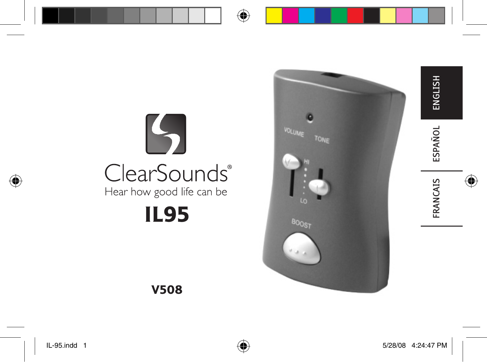ClearSounds<sup>®</sup> Hear how good life can be

# **IL95**



**V508**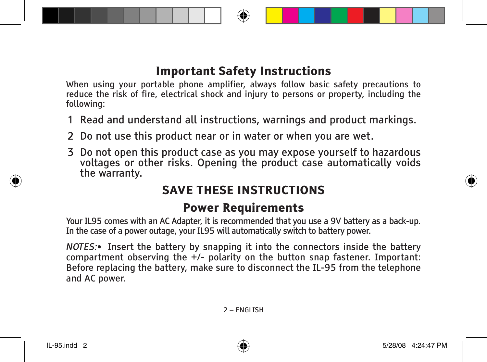## **Important Safety Instructions**

When using your portable phone amplifier, always follow basic safety precautions to reduce the risk of fire, electrical shock and injury to persons or property, including the following:

- 1 Read and understand all instructions, warnings and product markings.
- 2 Do not use this product near or in water or when you are wet.
- 3 Do not open this product case as you may expose yourself to hazardous voltages or other risks. Opening the product case automatically voids the warranty.

### **SAVE THESE INSTRUCTIONS**

### **Power Requirements**

Your IL95 comes with an AC Adapter, it is recommended that you use a 9V battery as a back-up. In the case of a power outage, your IL95 will automatically switch to battery power.

*NOTES:*• Insert the battery by snapping it into the connectors inside the battery compartment observing the +/- polarity on the button snap fastener. Important: Before replacing the battery, make sure to disconnect the IL-95 from the telephone and AC power.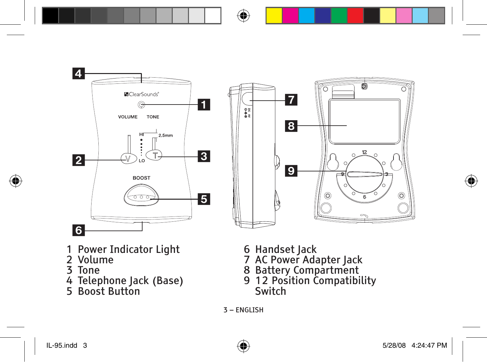

- 1 Power Indicator Light
- 2 Volume
- 3 Tone
- 4 Telephone Jack (Base)
- 5 Boost Button
- 6 Handset Jack
- 7 AC Power Adapter Jack
- 8 Battery Compartment
- 9 12 Position Compatibility Switch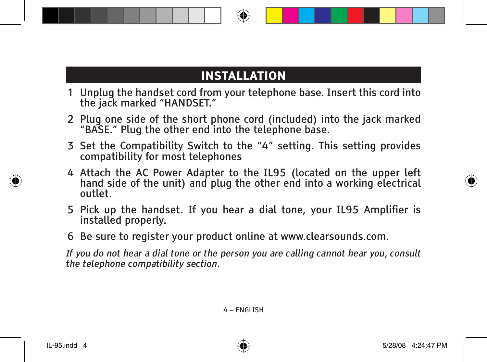## **Installation**

- 1 Unplug the handset cord from your telephone base. Insert this cord into the jack marked "HANDSET."
- 2 Plug one side of the short phone cord (included) into the jack marked "BASE." Plug the other end into the telephone base.
- 3 Set the Compatibility Switch to the "4" setting. This setting provides compatibility for most telephones
- 4 Attach the AC Power Adapter to the IL95 (located on the upper left hand side of the unit) and plug the other end into a working electrical outlet.
- 5 Pick up the handset. If you hear a dial tone, your IL95 Amplifier is installed properly.
- 6 Be sure to register your product online at www.clearsounds.com.

*If you do not hear a dial tone or the person you are calling cannot hear you, consult the telephone compatibility section.*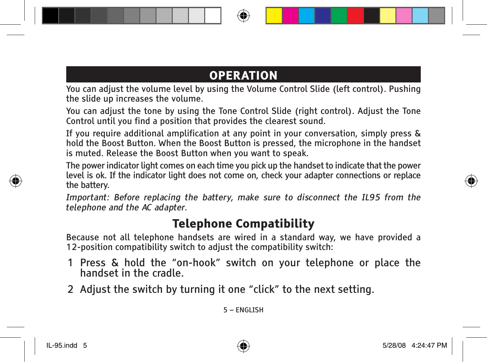## **OPERATION**

You can adjust the volume level by using the Volume Control Slide (left control). Pushing the slide up increases the volume.

You can adjust the tone by using the Tone Control Slide (right control). Adjust the Tone Control until you find a position that provides the clearest sound.

If you require additional amplification at any point in your conversation, simply press & hold the Boost Button. When the Boost Button is pressed, the microphone in the handset is muted. Release the Boost Button when you want to speak.

The power indicator light comes on each time you pick up the handset to indicate that the power level is ok. If the indicator light does not come on, check your adapter connections or replace the battery.

Important: Before replacing the battery, make sure to disconnect the IL95 from the *telephone and the AC adapter.*

## **Telephone Compatibility**

Because not all telephone handsets are wired in a standard way, we have provided a 12-position compatibility switch to adjust the compatibility switch:

- 1 Press & hold the "on-hook" switch on your telephone or place the handset in the cradle.
- 2 Adjust the switch by turning it one "click" to the next setting.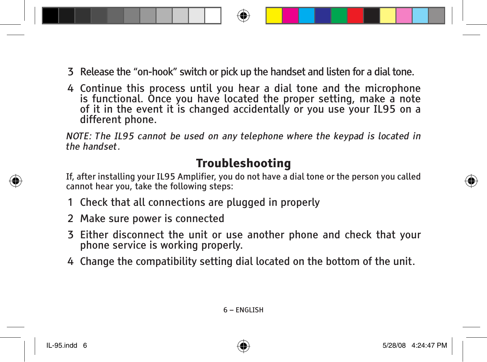- 3 Release the "on-hook" switch or pick up the handset and listen for a dial tone.
- 4 Continue this process until you hear a dial tone and the microphone is functional. Once you have located the proper setting, make a note of it in the event it is changed accidentally or you use your IL95 on a different phone.

*NOTE: The IL95 cannot be used on any telephone where the keypad is located in the handset.*

### **Troubleshooting**

If, after installing your IL95 Amplifier, you do not have a dial tone or the person you called cannot hear you, take the following steps:

- 1 Check that all connections are plugged in properly
- 2 Make sure power is connected
- 3 Either disconnect the unit or use another phone and check that your phone service is working properly.
- 4 Change the compatibility setting dial located on the bottom of the unit.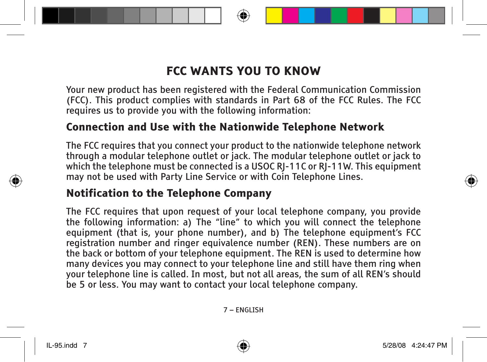## **FCC WANTS YOU TO KNOW**

Your new product has been registered with the Federal Communication Commission (FCC). This product complies with standards in Part 68 of the FCC Rules. The FCC requires us to provide you with the following information:

#### **Connection and Use with the Nationwide Telephone Network**

The FCC requires that you connect your product to the nationwide telephone network through a modular telephone outlet or jack. The modular telephone outlet or jack to which the telephone must be connected is a USOC RI-11C or RI-11W. This equipment may not be used with Party Line Service or with Coin Telephone Lines.

#### **Notification to the Telephone Company**

The FCC requires that upon request of your local telephone company, you provide the following information: a) The "line" to which you will connect the telephone equipment (that is, your phone number), and b) The telephone equipment's FCC registration number and ringer equivalence number (REN). These numbers are on the back or bottom of your telephone equipment. The REN is used to determine how many devices you may connect to your telephone line and still have them ring when your telephone line is called. In most, but not all areas, the sum of all REN's should be 5 or less. You may want to contact your local telephone company.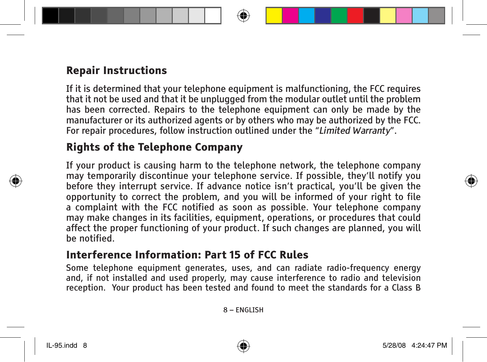#### **Repair Instructions**

If it is determined that your telephone equipment is malfunctioning, the FCC requires that it not be used and that it be unplugged from the modular outlet until the problem has been corrected. Repairs to the telephone equipment can only be made by the manufacturer or its authorized agents or by others who may be authorized by the FCC. For repair procedures, follow instruction outlined under the "*Limited Warranty*".

#### **Rights of the Telephone Company**

If your product is causing harm to the telephone network, the telephone company may temporarily discontinue your telephone service. If possible, they'll notify you before they interrupt service. If advance notice isn't practical, you'll be given the opportunity to correct the problem, and you will be informed of your right to file a complaint with the FCC notified as soon as possible. Your telephone company may make changes in its facilities, equipment, operations, or procedures that could affect the proper functioning of your product. If such changes are planned, you will be notified.

#### **Interference Information: Part 15 of FCC Rules**

Some telephone equipment generates, uses, and can radiate radio-frequency energy and, if not installed and used properly, may cause interference to radio and television reception. Your product has been tested and found to meet the standards for a Class B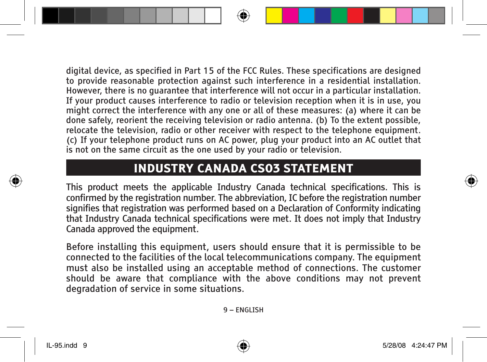digital device, as specified in Part 15 of the FCC Rules. These specifications are designed to provide reasonable protection against such interference in a residential installation. However, there is no guarantee that interference will not occur in a particular installation. If your product causes interference to radio or television reception when it is in use, you might correct the interference with any one or all of these measures: (a) where it can be done safely, reorient the receiving television or radio antenna. (b) To the extent possible, relocate the television, radio or other receiver with respect to the telephone equipment. (c) If your telephone product runs on AC power, plug your product into an AC outlet that is not on the same circuit as the one used by your radio or television.

## **INDUSTRY CANADA CS03 STATEMENT**

This product meets the applicable Industry Canada technical specifications. This is confirmed by the registration number. The abbreviation, IC before the registration number signifies that registration was performed based on a Declaration of Conformity indicating that Industry Canada technical specifications were met. It does not imply that Industry Canada approved the equipment.

Before installing this equipment, users should ensure that it is permissible to be connected to the facilities of the local telecommunications company. The equipment must also be installed using an acceptable method of connections. The customer should be aware that compliance with the above conditions may not prevent degradation of service in some situations.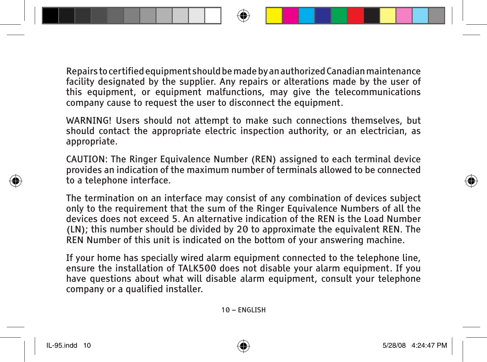Repairs to certified equipment should be made by an authorized Canadian maintenance facility designated by the supplier. Any repairs or alterations made by the user of this equipment, or equipment malfunctions, may give the telecommunications company cause to request the user to disconnect the equipment.

WARNING! Users should not attempt to make such connections themselves, but should contact the appropriate electric inspection authority, or an electrician, as appropriate.

CAUTION: The Ringer Equivalence Number (REN) assigned to each terminal device provides an indication of the maximum number of terminals allowed to be connected to a telephone interface.

The termination on an interface may consist of any combination of devices subject only to the requirement that the sum of the Ringer Equivalence Numbers of all the devices does not exceed 5. An alternative indication of the REN is the Load Number (LN); this number should be divided by 20 to approximate the equivalent REN. The REN Number of this unit is indicated on the bottom of your answering machine.

If your home has specially wired alarm equipment connected to the telephone line, ensure the installation of TALK500 does not disable your alarm equipment. If you have questions about what will disable alarm equipment, consult your telephone company or a qualified installer.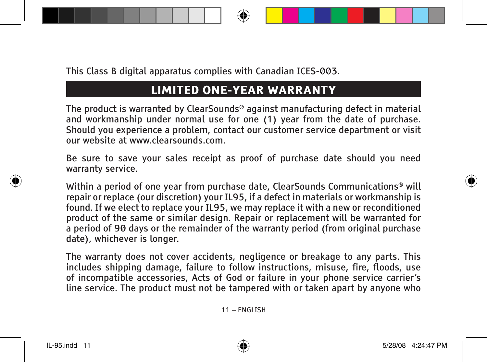This Class B digital apparatus complies with Canadian ICES-003.

### **Limited One-year Warranty**

The product is warranted by ClearSounds® against manufacturing defect in material and workmanship under normal use for one (1) year from the date of purchase. Should you experience a problem, contact our customer service department or visit our website at www.clearsounds.com.

Be sure to save your sales receipt as proof of purchase date should you need warranty service.

Within a period of one year from purchase date, ClearSounds Communications® will repair or replace (our discretion) your IL95, if a defect in materials or workmanship is found. If we elect to replace your IL95, we may replace it with a new or reconditioned product of the same or similar design. Repair or replacement will be warranted for a period of 90 days or the remainder of the warranty period (from original purchase date), whichever is longer.

The warranty does not cover accidents, negligence or breakage to any parts. This includes shipping damage, failure to follow instructions, misuse, fire, floods, use of incompatible accessories, Acts of God or failure in your phone service carrier's line service. The product must not be tampered with or taken apart by anyone who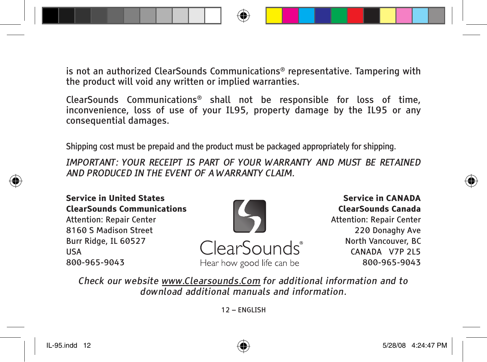is not an authorized ClearSounds Communications® representative. Tampering with the product will void any written or implied warranties.

ClearSounds Communications® shall not be responsible for loss of time, inconvenience, loss of use of your IL95, property damage by the IL95 or any consequential damages.

Shipping cost must be prepaid and the product must be packaged appropriately for shipping.

*IMPORTANT: YOUR RECEIPT IS PART OF YOUR WARRANTY AND MUST BE RETAINED AND PRODUCED IN THE EVENT OF A WARRANTY CLAIM.*

#### **Service in United States Service in CANADA**

**ClearSounds Communications ClearSounds Canada**



*Check our website www.Clearsounds.Com for additional information and to download additional manuals and information.*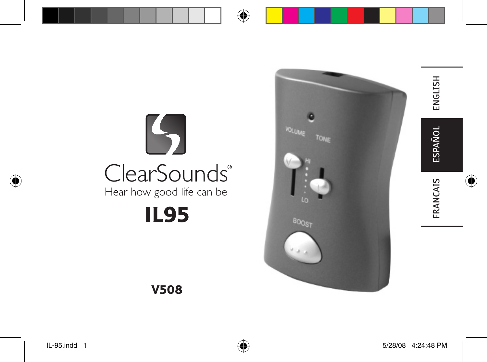



Francais Español English

FRANCAIS

**ESPAÑOL** 

ENGLISH

**V508**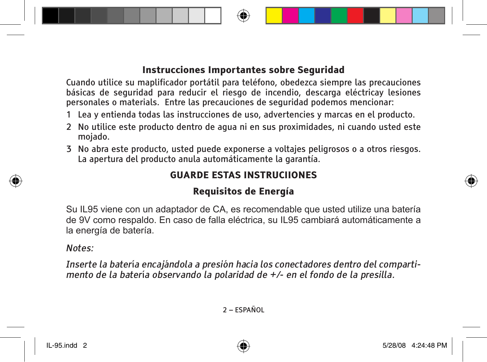#### **Instrucciones Importantes sobre Seguridad**

Cuando utilice su maplificador portátil para teléfono, obedezca siempre las precauciones básicas de seguridad para reducir el riesgo de incendio, descarga eléctricay lesiones personales o materials. Entre las precauciones de seguridad podemos mencionar:

- 1 Lea y entienda todas las instrucciones de uso, advertencies y marcas en el producto.
- 2 No utilice este producto dentro de agua ni en sus proximidades, ni cuando usted este mojado.
- 3 No abra este producto, usted puede exponerse a voltajes peligrosos o a otros riesgos. La apertura del producto anula automáticamente la garantía.

#### **GUARDE ESTAS INSTRUCIIONES**

#### **Requisitos de Energía**

Su IL95 viene con un adaptador de CA, es recomendable que usted utilize una batería de 9V como respaldo. En caso de falla eléctrica, su IL95 cambiará automáticamente a la energía de batería.

*Notes:*

*Inserte la batería encajándola a presión hacia los conectadores dentro del compartimento de la batería observando la polaridad de +/- en el fondo de la presilla.*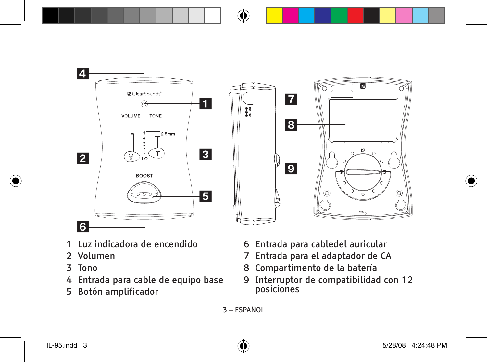

- 1 Luz indicadora de encendido
- 2 Volumen
- 3 Tono
- 4 Entrada para cable de equipo base
- 5 Botón amplificador
- 6 Entrada para cabledel auricular
- 7 Entrada para el adaptador de CA
- 8 Compartimento de la batería
- 9 Interruptor de compatibilidad con 12 posiciones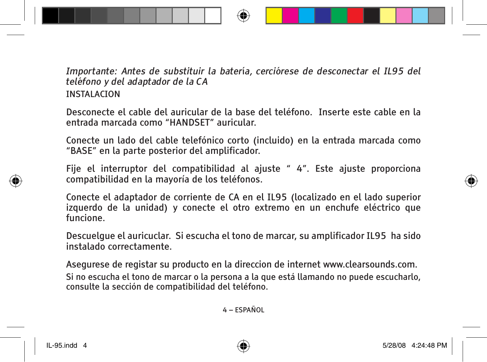*Importante: Antes de substituir la batería, cerciórese de desconectar el IL95 del teléfono y del adaptador de la CA* INSTALACION

Desconecte el cable del auricular de la base del teléfono. Inserte este cable en la entrada marcada como "HANDSET" auricular.

Conecte un lado del cable telefónico corto (incluido) en la entrada marcada como "BASE" en la parte posterior del amplificador.

Fije el interruptor del compatibilidad al ajuste " 4". Este ajuste proporciona compatibilidad en la mayoría de los teléfonos.

Conecte el adaptador de corriente de CA en el IL95 (localizado en el lado superior izquerdo de la unidad) y conecte el otro extremo en un enchufe eléctrico que funcione.

Descuelgue el auricuclar. Si escucha el tono de marcar, su amplificador IL95 ha sido instalado correctamente.

Asegurese de registar su producto en la direccion de internet www.clearsounds.com. Si no escucha el tono de marcar o la persona a la que está llamando no puede escucharlo, consulte la sección de compatibilidad del teléfono.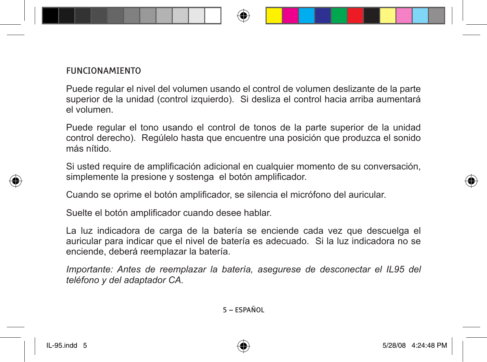#### FUNCIONAMIENTO

Puede regular el nivel del volumen usando el control de volumen deslizante de la parte superior de la unidad (control izquierdo). Si desliza el control hacia arriba aumentará el volumen.

Puede regular el tono usando el control de tonos de la parte superior de la unidad control derecho). Regúlelo hasta que encuentre una posición que produzca el sonido más nítido.

Si usted require de amplificación adicional en cualquier momento de su conversación, simplemente la presione y sostenga el botón amplificador.

Cuando se oprime el botón amplificador, se silencia el micrófono del auricular.

Suelte el botón amplificador cuando desee hablar.

La luz indicadora de carga de la batería se enciende cada vez que descuelga el auricular para indicar que el nivel de batería es adecuado. Si la luz indicadora no se enciende, deberá reemplazar la batería.

*Importante: Antes de reemplazar la batería, asegurese de desconectar el IL95 del teléfono y del adaptador CA.*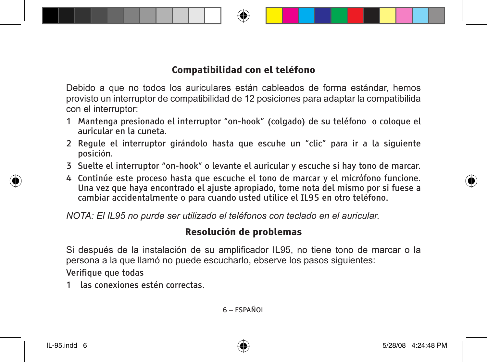#### **Compatibilidad con el teléfono**

Debido a que no todos los auriculares están cableados de forma estándar, hemos provisto un interruptor de compatibilidad de 12 posiciones para adaptar la compatibilida con el interruptor:

- 1 Mantenga presionado el interruptor "on-hook" (colgado) de su teléfono o coloque el auricular en la cuneta.
- 2 Regule el interruptor girándolo hasta que escuhe un "clic" para ir a la siguiente posición.
- 3 Suelte el interruptor "on-hook" o levante el auricular y escuche si hay tono de marcar.
- 4 Continúe este proceso hasta que escuche el tono de marcar y el micrófono funcione. Una vez que haya encontrado el ajuste apropiado, tome nota del mismo por si fuese a cambiar accidentalmente o para cuando usted utilice el IL95 en otro teléfono.

*NOTA: El IL95 no purde ser utilizado el teléfonos con teclado en el auricular.*

#### **Resolución de problemas**

Si después de la instalación de su amplificador IL95, no tiene tono de marcar o la persona a la que llamó no puede escucharlo, ebserve los pasos siguientes: Verifique que todas

1 las conexiones estén correctas.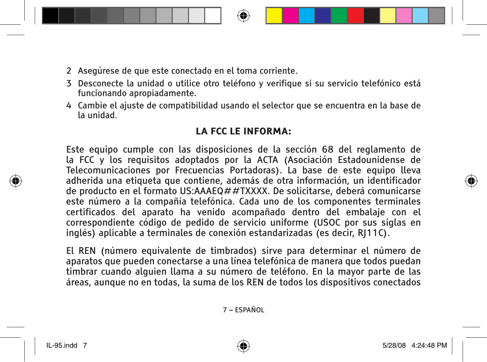- 2 Asegúrese de que este conectado en el toma corriente.
- 3 Desconecte la unidad o utilice otro teléfono y verifique si su servicio telefónico está funcionando apropiadamente.
- 4 Cambie el ajuste de compatibilidad usando el selector que se encuentra en la base de la unidad.

#### **LA FCC LE INFORMA:**

Este equipo cumple con las disposiciones de la sección 68 del reglamento de la FCC y los requisitos adoptados por la ACTA (Asociación Estadounidense de Telecomunicaciones por Frecuencias Portadoras). La base de este equipo lleva adherida una etiqueta que contiene, además de otra información, un identificador de producto en el formato US:AAAEQ##TXXXX. De solicitarse, deberá comunicarse este número a la compañía telefónica. Cada uno de los componentes terminales certificados del aparato ha venido acompañado dentro del embalaje con el correspondiente código de pedido de servicio uniforme (USOC por sus siglas en inglés) aplicable a terminales de conexión estandarizadas (es decir, RJ11C).

El REN (número equivalente de timbrados) sirve para determinar el número de aparatos que pueden conectarse a una línea telefónica de manera que todos puedan timbrar cuando alguien llama a su número de teléfono. En la mayor parte de las áreas, aunque no en todas, la suma de los REN de todos los dispositivos conectados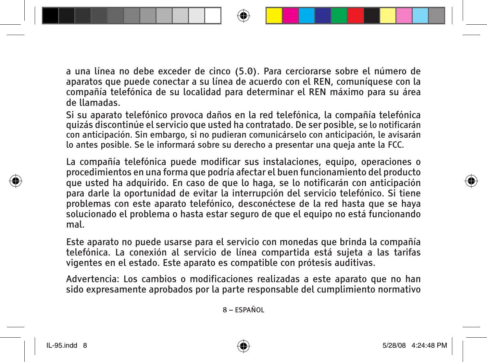a una línea no debe exceder de cinco (5.0). Para cerciorarse sobre el número de aparatos que puede conectar a su línea de acuerdo con el REN, comuníquese con la compañía telefónica de su localidad para determinar el REN máximo para su área de llamadas.

Si su aparato telefónico provoca daños en la red telefónica, la compañía telefónica quizás discontinúe el servicio que usted ha contratado. De ser posible, se lo notificarán con anticipación. Sin embargo, si no pudieran comunicárselo con anticipación, le avisarán lo antes posible. Se le informará sobre su derecho a presentar una queja ante la FCC.

La compañía telefónica puede modificar sus instalaciones, equipo, operaciones o procedimientos en una forma que podría afectar el buen funcionamiento del producto que usted ha adquirido. En caso de que lo haga, se lo notificarán con anticipación para darle la oportunidad de evitar la interrupción del servicio telefónico. Si tiene problemas con este aparato telefónico, desconéctese de la red hasta que se haya solucionado el problema o hasta estar seguro de que el equipo no está funcionando mal.

Este aparato no puede usarse para el servicio con monedas que brinda la compañía telefónica. La conexión al servicio de línea compartida está sujeta a las tarifas vigentes en el estado. Este aparato es compatible con prótesis auditivas.

Advertencia: Los cambios o modificaciones realizadas a este aparato que no han sido expresamente aprobados por la parte responsable del cumplimiento normativo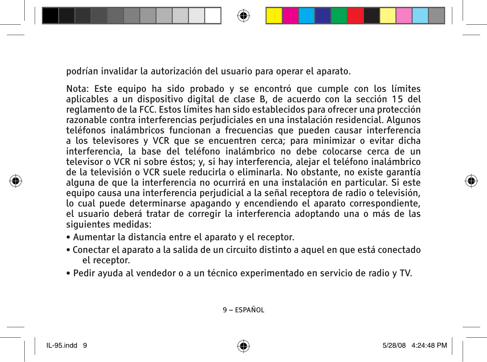podrían invalidar la autorización del usuario para operar el aparato.

Nota: Este equipo ha sido probado y se encontró que cumple con los límites aplicables a un dispositivo digital de clase B, de acuerdo con la sección 15 del reglamento de la FCC. Estos límites han sido establecidos para ofrecer una protección razonable contra interferencias perjudiciales en una instalación residencial. Algunos teléfonos inalámbricos funcionan a frecuencias que pueden causar interferencia a los televisores y VCR que se encuentren cerca; para minimizar o evitar dicha interferencia, la base del teléfono inalámbrico no debe colocarse cerca de un televisor o VCR ni sobre éstos; y, si hay interferencia, alejar el teléfono inalámbrico de la televisión o VCR suele reducirla o eliminarla. No obstante, no existe garantía alguna de que la interferencia no ocurrirá en una instalación en particular. Si este equipo causa una interferencia perjudicial a la señal receptora de radio o televisión, lo cual puede determinarse apagando y encendiendo el aparato correspondiente, el usuario deberá tratar de corregir la interferencia adoptando una o más de las siguientes medidas:

- Aumentar la distancia entre el aparato y el receptor.
- Conectar el aparato a la salida de un circuito distinto a aquel en que está conectado el receptor.
- Pedir ayuda al vendedor o a un técnico experimentado en servicio de radio y TV.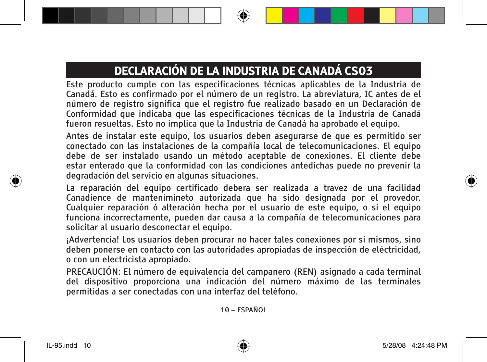## **DECLARACIÓN de la INDUSTRIA de CANADÁ CS03**

Este producto cumple con las especificaciones técnicas aplicables de la Industria de Canadá. Esto es confirmado por el número de un registro. La abreviatura, IC antes de el número de registro significa que el registro fue realizado basado en un Declaración de Conformidad que indicaba que las especificaciones técnicas de la Industria de Canadá fueron resueltas. Esto no implica que la Industria de Canadá ha aprobado el equipo.

Antes de instalar este equipo, los usuarios deben asegurarse de que es permitido ser conectado con las instalaciones de la compañía local de telecomunicaciones. El equipo debe de ser instalado usando un método aceptable de conexiones. El cliente debe estar enterado que la conformidad con las condiciones antedichas puede no prevenir la degradación del servicio en algunas situaciones.

La reparación del equipo certificado debera ser realizada a travez de una facilidad Canadience de mantenimineto autorizada que ha sido designada por el provedor. Cualquier reparación ó alteración hecha por el usuario de este equipo, o si el equipo funciona incorrectamente, pueden dar causa a la compañía de telecomunicaciones para solicitar al usuario desconectar el equipo.

¡Advertencia! Los usuarios deben procurar no hacer tales conexiones por si mismos, sino deben ponerse en contacto con las autoridades apropiadas de inspección de eléctricidad, o con un electricista apropiado.

PRECAUCIÓN: El número de equivalencia del campanero (REN) asignado a cada terminal del dispositivo proporciona una indicación del número máximo de las terminales permitidas a ser conectadas con una interfaz del teléfono.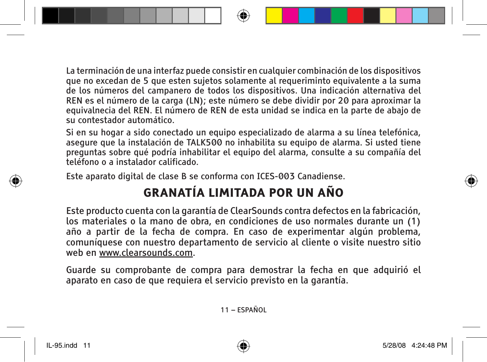La terminación de una interfaz puede consistir en cualquier combinación de los dispositivos que no excedan de 5 que esten sujetos solamente al requeriminto equivalente a la suma de los números del campanero de todos los dispositivos. Una indicación alternativa del REN es el número de la carga (LN); este número se debe dividir por 20 para aproximar la equivalnecia del REN. El número de REN de esta unidad se indica en la parte de abajo de su contestador automático.

Si en su hogar a sido conectado un equipo especializado de alarma a su línea telefónica, asegure que la instalación de TALK500 no inhabilita su equipo de alarma. Si usted tiene preguntas sobre qué podría inhabilitar el equipo del alarma, consulte a su compañía del teléfono o a instalador calificado.

Este aparato digital de clase B se conforma con ICES-003 Canadiense.

## **GRANATÍA LIMITADA POR UN AÑO**

Este producto cuenta con la garantía de ClearSounds contra defectos en la fabricación, los materiales o la mano de obra, en condiciones de uso normales durante un (1) año a partir de la fecha de compra. En caso de experimentar algún problema, comuníquese con nuestro departamento de servicio al cliente o visite nuestro sitio web en www.clearsounds.com.

Guarde su comprobante de compra para demostrar la fecha en que adquirió el aparato en caso de que requiera el servicio previsto en la garantía.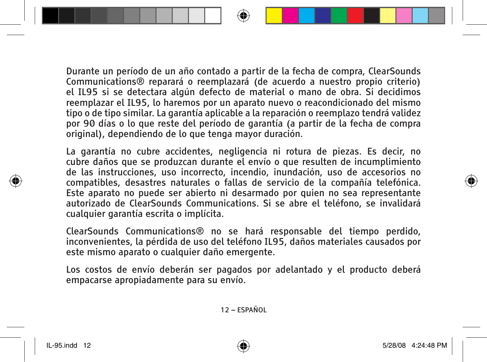Durante un período de un año contado a partir de la fecha de compra, ClearSounds Communications® reparará o reemplazará (de acuerdo a nuestro propio criterio) el IL95 si se detectara algún defecto de material o mano de obra. Si decidimos reemplazar el IL95, lo haremos por un aparato nuevo o reacondicionado del mismo tipo o de tipo similar. La garantía aplicable a la reparación o reemplazo tendrá validez por 90 días o lo que reste del período de garantía (a partir de la fecha de compra original), dependiendo de lo que tenga mayor duración.

La garantía no cubre accidentes, negligencia ni rotura de piezas. Es decir, no cubre daños que se produzcan durante el envío o que resulten de incumplimiento de las instrucciones, uso incorrecto, incendio, inundación, uso de accesorios no compatibles, desastres naturales o fallas de servicio de la compañía telefónica. Este aparato no puede ser abierto ni desarmado por quien no sea representante autorizado de ClearSounds Communications. Si se abre el teléfono, se invalidará cualquier garantía escrita o implícita.

ClearSounds Communications® no se hará responsable del tiempo perdido, inconvenientes, la pérdida de uso del teléfono IL95, daños materiales causados por este mismo aparato o cualquier daño emergente.

Los costos de envío deberán ser pagados por adelantado y el producto deberá empacarse apropiadamente para su envío.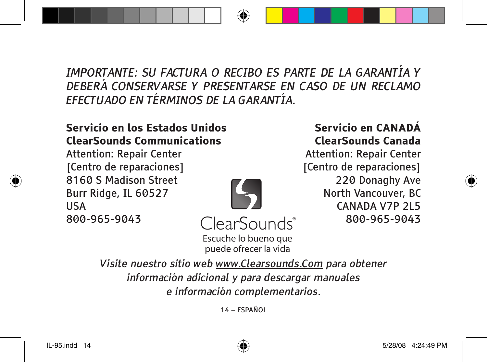*IMPORTANTE: SU FACTURA O RECIBO ES PARTE DE LA GARANTÍA Y DEBERÁ CONSERVARSE Y PRESENTARSE EN CASO DE UN RECLAMO EFECTUADO EN TÉRMINOS DE LA GARANTÍA.* 

#### **Servicio en los Estados Unidos Servicio en CANADÁ ClearSounds Communications ClearSounds Canada**

Attention: Repair Center Attention: Repair Center [Centro de reparaciones] [Centro de reparaciones] 8160 S Madison Street 220 Donaghy Ave Burr Ridge, IL 60527 North Vancouver, BC USA CANADA V7P 2L5



#### 800-965-9043 (learSounds<sup>\*</sup> 800-965-9043 Escuche lo bueno que puede ofrecer la vida

*Visite nuestro sitio web www.Clearsounds.Com para obtener información adicional y para descargar manuales e información complementarios.*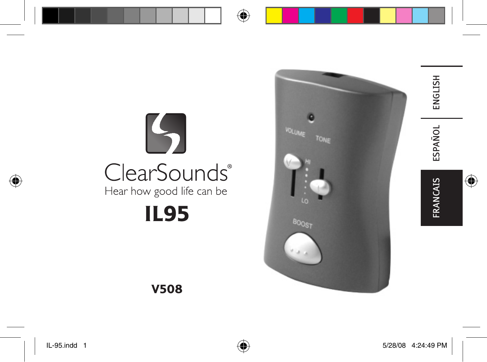

# **IL95**



Francais Español English

**FRANCAIS** 

**ESPAÑOL** 

ENGLISH

**V508**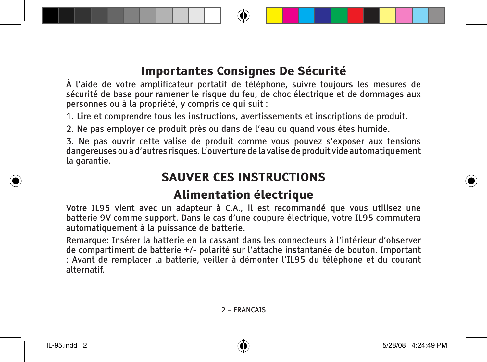## **Importantes Consignes De Sécurité**

À l'aide de votre amplificateur portatif de téléphone, suivre toujours les mesures de sécurité de base pour ramener le risque du feu, de choc électrique et de dommages aux personnes ou à la propriété, y compris ce qui suit :

1. Lire et comprendre tous les instructions, avertissements et inscriptions de produit.

2. Ne pas employer ce produit près ou dans de l'eau ou quand vous êtes humide.

3. Ne pas ouvrir cette valise de produit comme vous pouvez s'exposer aux tensions dangereuses ou à d'autres risques. L'ouverture de la valise de produit vide automatiquement la garantie.

#### **SAUVER CES INSTRUCTIONS**

## **Alimentation électrique**

Votre IL95 vient avec un adapteur à C.A., il est recommandé que vous utilisez une batterie 9V comme support. Dans le cas d'une coupure électrique, votre IL95 commutera automatiquement à la puissance de batterie.

Remarque: Insérer la batterie en la cassant dans les connecteurs à l'intérieur d'observer de compartiment de batterie +/- polarité sur l'attache instantanée de bouton. Important : Avant de remplacer la batterie, veiller à démonter l'IL95 du téléphone et du courant alternatif.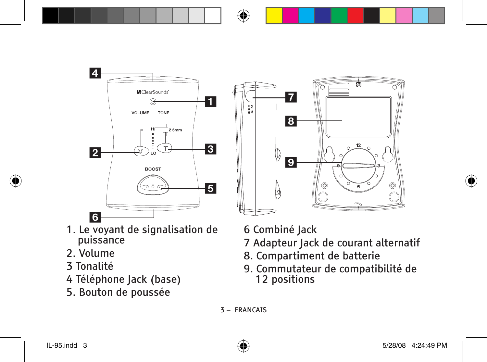

- 1. Le voyant de signalisation de puissance
- 2. Volume
- 3 Tonalité
- 4 Téléphone Jack (base)
- 5. Bouton de poussée



- 6 Combiné Jack
- 7 Adapteur Jack de courant alternatif
- 8. Compartiment de batterie
- 9. Commutateur de compatibilité de 12 positions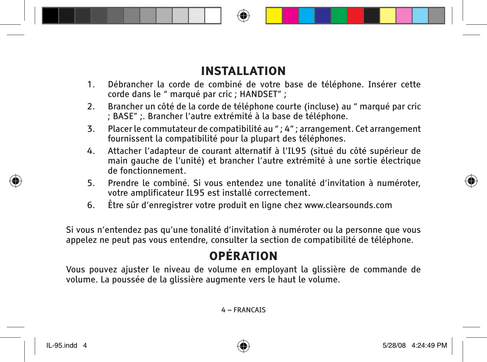## **INSTALLATION**

- 1. Débrancher la corde de combiné de votre base de téléphone. Insérer cette corde dans le " marqué par cric ; HANDSET" ;
- 2. Brancher un côté de la corde de téléphone courte (incluse) au " marqué par cric ; BASE" ;. Brancher l'autre extrémité à la base de téléphone.
- 3. Placer le commutateur de compatibilité au " ; 4" ; arrangement. Cet arrangement fournissent la compatibilité pour la plupart des téléphones.
- 4. Attacher l'adapteur de courant alternatif à l'IL95 (situé du côté supérieur de main gauche de l'unité) et brancher l'autre extrémité à une sortie électrique de fonctionnement.
- 5. Prendre le combiné. Si vous entendez une tonalité d'invitation à numéroter, votre amplificateur IL95 est installé correctement.
- 6. Être sûr d'enregistrer votre produit en ligne chez www.clearsounds.com

Si vous n'entendez pas qu'une tonalité d'invitation à numéroter ou la personne que vous appelez ne peut pas vous entendre, consulter la section de compatibilité de téléphone.

## **OPÉRATION**

Vous pouvez ajuster le niveau de volume en employant la glissière de commande de volume. La poussée de la glissière augmente vers le haut le volume.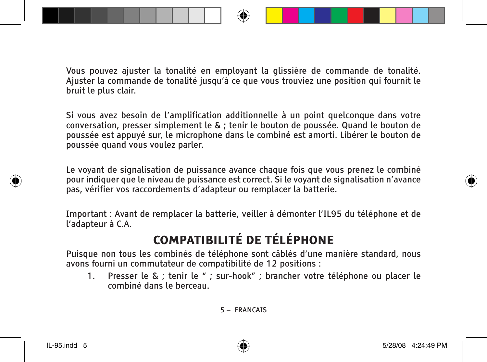Vous pouvez ajuster la tonalité en employant la glissière de commande de tonalité. Ajuster la commande de tonalité jusqu'à ce que vous trouviez une position qui fournit le bruit le plus clair.

Si vous avez besoin de l'amplification additionnelle à un point quelconque dans votre conversation, presser simplement le & ; tenir le bouton de poussée. Quand le bouton de poussée est appuyé sur, le microphone dans le combiné est amorti. Libérer le bouton de poussée quand vous voulez parler.

Le voyant de signalisation de puissance avance chaque fois que vous prenez le combiné pour indiquer que le niveau de puissance est correct. Si le voyant de signalisation n'avance pas, vérifier vos raccordements d'adapteur ou remplacer la batterie.

Important : Avant de remplacer la batterie, veiller à démonter l'IL95 du téléphone et de l'adapteur à C.A.

## **COMPATIBILITÉ DE TÉLÉPHONE**

Puisque non tous les combinés de téléphone sont câblés d'une manière standard, nous avons fourni un commutateur de compatibilité de 12 positions :

1. Presser le & ; tenir le " ; sur-hook" ; brancher votre téléphone ou placer le combiné dans le berceau.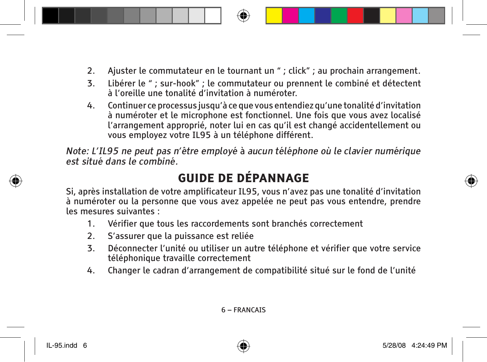- 2. Ajuster le commutateur en le tournant un " ; click" ; au prochain arrangement.
- 3. Libérer le " ; sur-hook" ; le commutateur ou prennent le combiné et détectent à l'oreille une tonalité d'invitation à numéroter.
- 4. Continuer ce processus jusqu'à ce que vous entendiez qu'une tonalité d'invitation à numéroter et le microphone est fonctionnel. Une fois que vous avez localisé l'arrangement approprié, noter lui en cas qu'il est changé accidentellement ou vous employez votre IL95 à un téléphone différent.

*Note: L'IL95 ne peut pas n'être employé à aucun téléphone où le clavier numérique est situé dans le combiné.*

## **GUIDE DE DÉPANNAGE**

Si, après installation de votre amplificateur IL95, vous n'avez pas une tonalité d'invitation à numéroter ou la personne que vous avez appelée ne peut pas vous entendre, prendre les mesures suivantes :

- 1. Vérifier que tous les raccordements sont branchés correctement
- 2. S'assurer que la puissance est reliée
- 3. Déconnecter l'unité ou utiliser un autre téléphone et vérifier que votre service téléphonique travaille correctement
- 4. Changer le cadran d'arrangement de compatibilité situé sur le fond de l'unité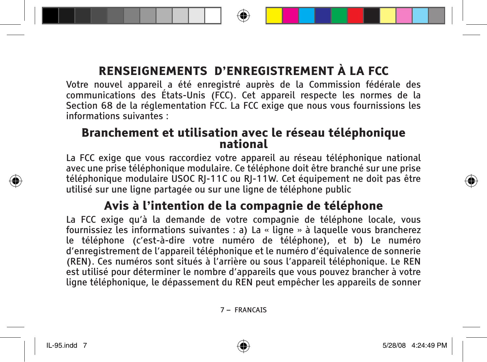## **RENSEIGNEMENTS D'ENREGISTREMENT À LA FCC**

Votre nouvel appareil a été enregistré auprès de la Commission fédérale des communications des États-Unis (FCC). Cet appareil respecte les normes de la Section 68 de la réglementation FCC. La FCC exige que nous vous fournissions les informations suivantes :

# **Branchement et utilisation avec le réseau téléphonique national**

La FCC exige que vous raccordiez votre appareil au réseau téléphonique national avec une prise téléphonique modulaire. Ce téléphone doit être branché sur une prise téléphonique modulaire USOC RJ-11C ou RJ-11W. Cet équipement ne doit pas être utilisé sur une ligne partagée ou sur une ligne de téléphone public

### **Avis à l'intention de la compagnie de téléphone**

La FCC exige qu'à la demande de votre compagnie de téléphone locale, vous fournissiez les informations suivantes : a) La « ligne » à laquelle vous brancherez le téléphone (c'est-à-dire votre numéro de téléphone), et b) Le numéro d'enregistrement de l'appareil téléphonique et le numéro d'équivalence de sonnerie (REN). Ces numéros sont situés à l'arrière ou sous l'appareil téléphonique. Le REN est utilisé pour déterminer le nombre d'appareils que vous pouvez brancher à votre ligne téléphonique, le dépassement du REN peut empêcher les appareils de sonner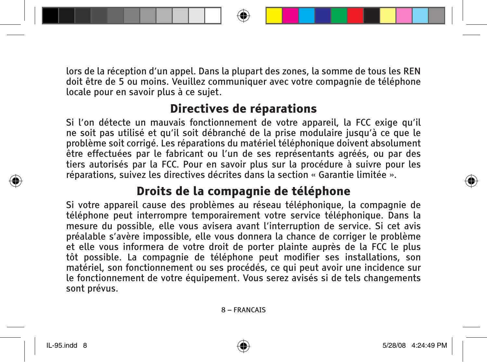lors de la réception d'un appel. Dans la plupart des zones, la somme de tous les REN doit être de 5 ou moins. Veuillez communiquer avec votre compagnie de téléphone locale pour en savoir plus à ce sujet.

#### **Directives de réparations**

Si l'on détecte un mauvais fonctionnement de votre appareil, la FCC exige qu'il ne soit pas utilisé et qu'il soit débranché de la prise modulaire jusqu'à ce que le problème soit corrigé. Les réparations du matériel téléphonique doivent absolument être effectuées par le fabricant ou l'un de ses représentants agréés, ou par des tiers autorisés par la FCC. Pour en savoir plus sur la procédure à suivre pour les réparations, suivez les directives décrites dans la section « Garantie limitée ».

## **Droits de la compagnie de téléphone**

Si votre appareil cause des problèmes au réseau téléphonique, la compagnie de téléphone peut interrompre temporairement votre service téléphonique. Dans la mesure du possible, elle vous avisera avant l'interruption de service. Si cet avis préalable s'avère impossible, elle vous donnera la chance de corriger le problème et elle vous informera de votre droit de porter plainte auprès de la FCC le plus tôt possible. La compagnie de téléphone peut modifier ses installations, son matériel, son fonctionnement ou ses procédés, ce qui peut avoir une incidence sur le fonctionnement de votre équipement. Vous serez avisés si de tels changements sont prévus.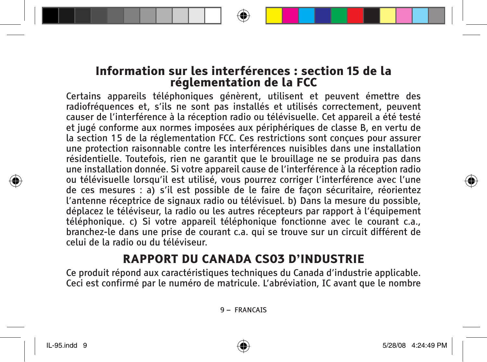#### **Information sur les interférences : section 15 de la réglementation de la FCC**

Certains appareils téléphoniques génèrent, utilisent et peuvent émettre des radiofréquences et, s'ils ne sont pas installés et utilisés correctement, peuvent causer de l'interférence à la réception radio ou télévisuelle. Cet appareil a été testé et jugé conforme aux normes imposées aux périphériques de classe B, en vertu de la section 15 de la réglementation FCC. Ces restrictions sont conçues pour assurer une protection raisonnable contre les interférences nuisibles dans une installation résidentielle. Toutefois, rien ne garantit que le brouillage ne se produira pas dans une installation donnée. Si votre appareil cause de l'interférence à la réception radio ou télévisuelle lorsqu'il est utilisé, vous pourrez corriger l'interférence avec l'une de ces mesures : a) s'il est possible de le faire de façon sécuritaire, réorientez l'antenne réceptrice de signaux radio ou télévisuel. b) Dans la mesure du possible, déplacez le téléviseur, la radio ou les autres récepteurs par rapport à l'équipement téléphonique. c) Si votre appareil téléphonique fonctionne avec le courant c.a., branchez-le dans une prise de courant c.a. qui se trouve sur un circuit différent de celui de la radio ou du téléviseur.

### **RAPPORT DU CANADA CS03 D'INDUSTRIE**

Ce produit répond aux caractéristiques techniques du Canada d'industrie applicable. Ceci est confirmé par le numéro de matricule. L'abréviation, IC avant que le nombre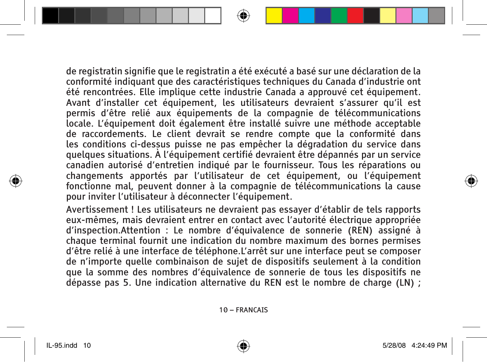de registratin signifie que le registratin a été exécuté a basé sur une déclaration de la conformité indiquant que des caractéristiques techniques du Canada d'industrie ont été rencontrées. Elle implique cette industrie Canada a approuvé cet équipement. Avant d'installer cet équipement, les utilisateurs devraient s'assurer qu'il est permis d'être relié aux équipements de la compagnie de télécommunications locale. L'équipement doit également être installé suivre une méthode acceptable de raccordements. Le client devrait se rendre compte que la conformité dans les conditions ci-dessus puisse ne pas empêcher la dégradation du service dans quelques situations. À l'équipement certifié devraient être dépannés par un service canadien autorisé d'entretien indiqué par le fournisseur. Tous les réparations ou changements apportés par l'utilisateur de cet équipement, ou l'équipement fonctionne mal, peuvent donner à la compagnie de télécommunications la cause pour inviter l'utilisateur à déconnecter l'équipement.

Avertissement ! Les utilisateurs ne devraient pas essayer d'établir de tels rapports eux-mêmes, mais devraient entrer en contact avec l'autorité électrique appropriée d'inspection.Attention : Le nombre d'équivalence de sonnerie (REN) assigné à chaque terminal fournit une indication du nombre maximum des bornes permises d'être relié à une interface de téléphone.L'arrêt sur une interface peut se composer de n'importe quelle combinaison de sujet de dispositifs seulement à la condition que la somme des nombres d'équivalence de sonnerie de tous les dispositifs ne dépasse pas 5. Une indication alternative du REN est le nombre de charge (LN) ;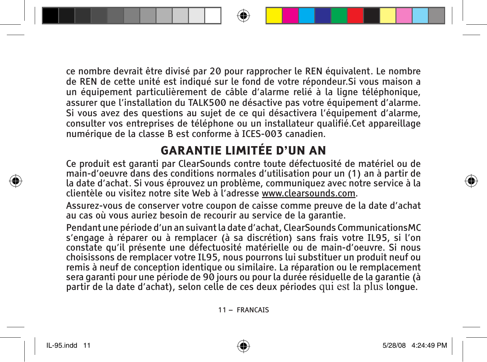ce nombre devrait être divisé par 20 pour rapprocher le REN équivalent. Le nombre de REN de cette unité est indiqué sur le fond de votre répondeur.Si vous maison a un équipement particulièrement de câble d'alarme relié à la ligne téléphonique, assurer que l'installation du TALK500 ne désactive pas votre équipement d'alarme. Si vous avez des questions au sujet de ce qui désactivera l'équipement d'alarme, consulter vos entreprises de téléphone ou un installateur qualifié.Cet appareillage numérique de la classe B est conforme à ICES-003 canadien.

## **GARANTIE LIMITÉE D'UN AN**

Ce produit est garanti par ClearSounds contre toute défectuosité de matériel ou de main-d'oeuvre dans des conditions normales d'utilisation pour un (1) an à partir de la date d'achat. Si vous éprouvez un problème, communiquez avec notre service à la clientèle ou visitez notre site Web à l'adresse www.clearsounds.com.

Assurez-vous de conserver votre coupon de caisse comme preuve de la date d'achat au cas où vous auriez besoin de recourir au service de la garantie.

Pendant une période d'un an suivant la date d'achat, ClearSounds CommunicationsMC s'engage à réparer ou à remplacer (à sa discrétion) sans frais votre IL95, si l'on constate qu'il présente une défectuosité matérielle ou de main-d'oeuvre. Si nous choisissons de remplacer votre IL95, nous pourrons lui substituer un produit neuf ou remis à neuf de conception identique ou similaire. La réparation ou le remplacement sera garanti pour une période de 90 jours ou pour la durée résiduelle de la garantie (à partir de la date d'achat), selon celle de ces deux périodes qui est la plus **longue.**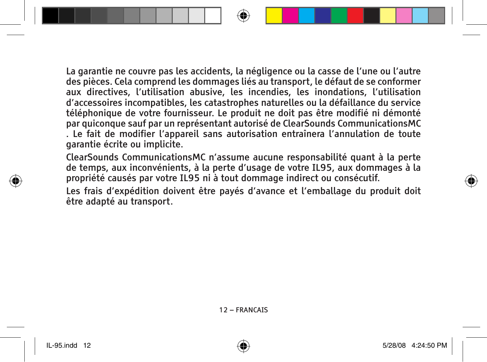**La garantie ne couvre pas les accidents, la négligence ou la casse de l'une ou l'autre des pièces. Cela comprend les dommages liés au transport, le défaut de se conformer aux directives, l'utilisation abusive, les incendies, les inondations, l'utilisation d'accessoires incompatibles, les catastrophes naturelles ou la défaillance du service téléphonique de votre fournisseur. Le produit ne doit pas être modifié ni démonté par quiconque sauf par un représentant autorisé de ClearSounds CommunicationsMC . Le fait de modifier l'appareil sans autorisation entraînera l'annulation de toute garantie écrite ou implicite.**

**ClearSounds CommunicationsMC n'assume aucune responsabilité quant à la perte de temps, aux inconvénients, à la perte d'usage de votre IL95, aux dommages à la propriété causés par votre IL95 ni à tout dommage indirect ou consécutif.** 

**Les frais d'expédition doivent être payés d'avance et l'emballage du produit doit être adapté au transport.**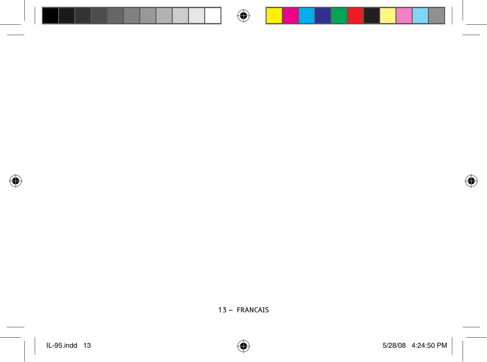#### 12 – Francais 13 – Francais